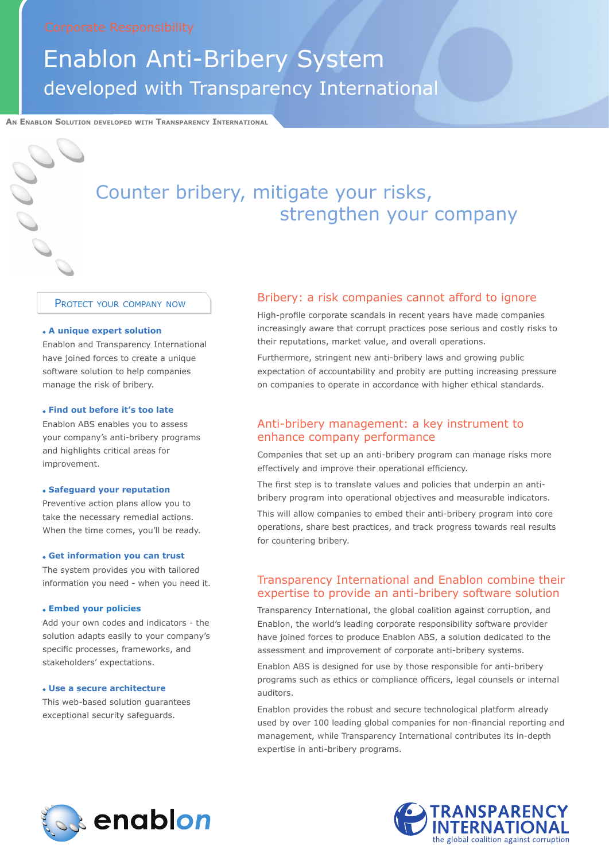# Enablon Anti-Bribery System developed with Transparency International

**An Enablon Solution developed with Transparency International**

## Counter bribery, mitigate your risks, strengthen your company

PROTECT YOUR COMPANY NOW

#### **A unique expert solution**

Enablon and Transparency International have joined forces to create a unique software solution to help companies manage the risk of bribery.

#### **Find out before it's too late**

Enablon ABS enables you to assess your company's anti-bribery programs and highlights critical areas for improvement.

#### **Safeguard your reputation**

Preventive action plans allow you to take the necessary remedial actions. When the time comes, you'll be ready.

#### **Get information you can trust**

The system provides you with tailored information you need - when you need it.

#### **Embed your policies**

Add your own codes and indicators - the solution adapts easily to your company's specific processes, frameworks, and stakeholders' expectations.

#### **Use a secure architecture**

This web-based solution guarantees exceptional security safeguards.

### Bribery: a risk companies cannot afford to ignore

High-profile corporate scandals in recent years have made companies increasingly aware that corrupt practices pose serious and costly risks to their reputations, market value, and overall operations.

Furthermore, stringent new anti-bribery laws and growing public expectation of accountability and probity are putting increasing pressure on companies to operate in accordance with higher ethical standards.

#### Anti-bribery management: a key instrument to enhance company performance

Companies that set up an anti-bribery program can manage risks more effectively and improve their operational efficiency.

The first step is to translate values and policies that underpin an antibribery program into operational objectives and measurable indicators.

This will allow companies to embed their anti-bribery program into core operations, share best practices, and track progress towards real results for countering bribery.

### Transparency International and Enablon combine their expertise to provide an anti-bribery software solution

Transparency International, the global coalition against corruption, and Enablon, the world's leading corporate responsibility software provider have joined forces to produce Enablon ABS, a solution dedicated to the assessment and improvement of corporate anti-bribery systems.

Enablon ABS is designed for use by those responsible for anti-bribery programs such as ethics or compliance officers, legal counsels or internal auditors.

Enablon provides the robust and secure technological platform already used by over 100 leading global companies for non-financial reporting and management, while Transparency International contributes its in-depth expertise in anti-bribery programs.